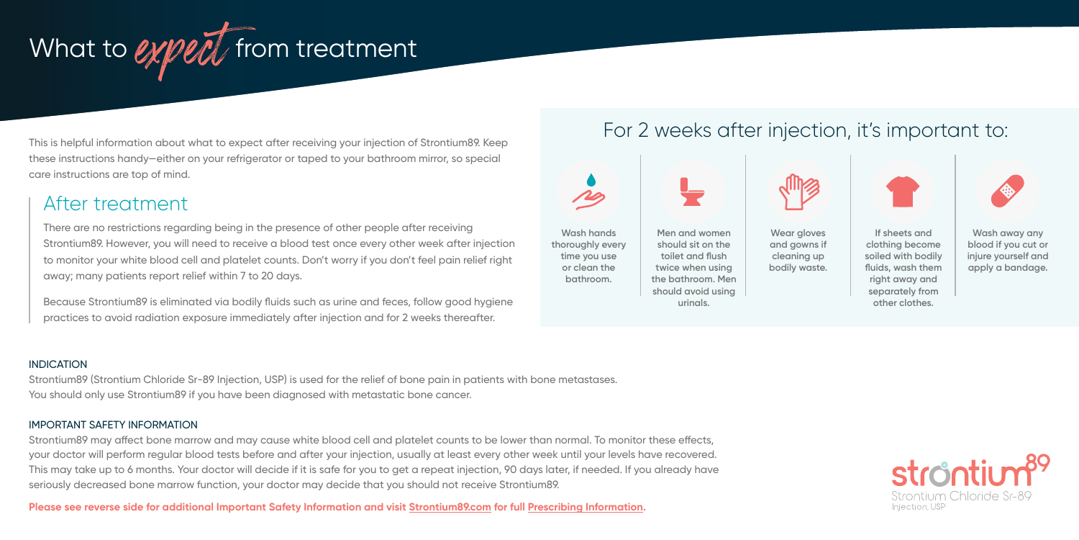

This is helpful information about what to expect after receiving your injection of Strontium89. Keep these instructions handy—either on your refrigerator or taped to your bathroom mirror, so special care instructions are top of mind.

# After treatment

There are no restrictions regarding being in the presence of other people after receiving Strontium89. However, you will need to receive a blood test once every other week after injection to monitor your white blood cell and platelet counts. Don't worry if you don't feel pain relief right away; many patients report relief within 7 to 20 days.

Because Strontium89 is eliminated via bodily fluids such as urine and feces, follow good hygiene practices to avoid radiation exposure immediately after injection and for 2 weeks thereafter.

# For 2 weeks after injection, it's important to:



**urinals.**

**Wash away any blood if you cut or injure yourself and apply a bandage.**

**other clothes.**

**INDICATION** 

Strontium89 (Strontium Chloride Sr-89 Injection, USP) is used for the relief of bone pain in patients with bone metastases. You should only use Strontium89 if you have been diagnosed with metastatic bone cancer.

### IMPORTANT SAFETY INFORMATION

Strontium89 may affect bone marrow and may cause white blood cell and platelet counts to be lower than normal. To monitor these effects, your doctor will perform regular blood tests before and after your injection, usually at least every other week until your levels have recovered. This may take up to 6 months. Your doctor will decide if it is safe for you to get a repeat injection, 90 days later, if needed. If you already have seriously decreased bone marrow function, your doctor may decide that you should not receive Strontium89.

**Please see reverse side for additional Important Safety Information and visit [Strontium89.com](https://strontium89.com) for full [Prescribing Information.](https://strontium89.com/PI)**